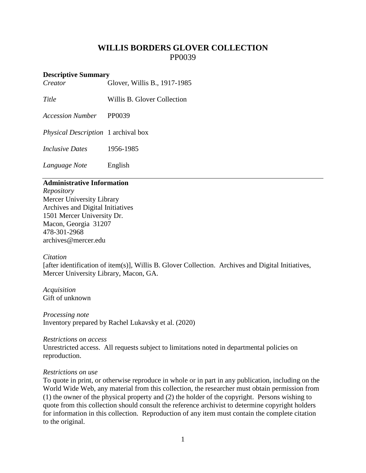# **WILLIS BORDERS GLOVER COLLECTION** PP0039

#### **Descriptive Summary**

*Creator* Glover, Willis B., 1917-1985

*Title* Willis B. Glover Collection

*Accession Number* PP0039

*Physical Description* 1 archival box

*Inclusive Dates* 1956-1985

*Language Note* English

# **Administrative Information**

*Repository* Mercer University Library Archives and Digital Initiatives 1501 Mercer University Dr. Macon, Georgia 31207 478-301-2968 [archives@mercer.edu](mailto:archives@mercer.edu)

# *Citation*

[after identification of item(s)], Willis B. Glover Collection. Archives and Digital Initiatives, Mercer University Library, Macon, GA.

*Acquisition* Gift of unknown

*Processing note* Inventory prepared by Rachel Lukavsky et al. (2020)

#### *Restrictions on access*

Unrestricted access. All requests subject to limitations noted in departmental policies on reproduction.

# *Restrictions on use*

To quote in print, or otherwise reproduce in whole or in part in any publication, including on the World Wide Web, any material from this collection, the researcher must obtain permission from (1) the owner of the physical property and (2) the holder of the copyright. Persons wishing to quote from this collection should consult the reference archivist to determine copyright holders for information in this collection. Reproduction of any item must contain the complete citation to the original.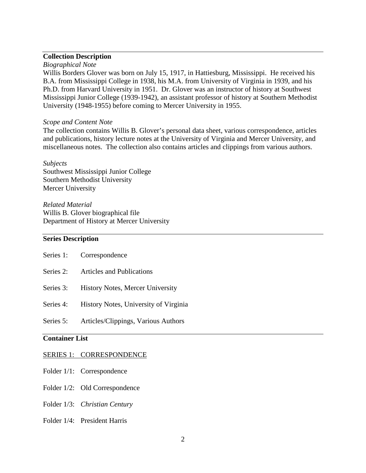# **Collection Description**

#### *Biographical Note*

Willis Borders Glover was born on July 15, 1917, in Hattiesburg, Mississippi. He received his B.A. from Mississippi College in 1938, his M.A. from University of Virginia in 1939, and his Ph.D. from Harvard University in 1951. Dr. Glover was an instructor of history at Southwest Mississippi Junior College (1939-1942), an assistant professor of history at Southern Methodist University (1948-1955) before coming to Mercer University in 1955.

#### *Scope and Content Note*

The collection contains Willis B. Glover's personal data sheet, various correspondence, articles and publications, history lecture notes at the University of Virginia and Mercer University, and miscellaneous notes. The collection also contains articles and clippings from various authors.

#### *Subjects*

Southwest Mississippi Junior College Southern Methodist University Mercer University

*Related Material* Willis B. Glover biographical file Department of History at Mercer University

# **Series Description**

|           | Series 1: Correspondence                |
|-----------|-----------------------------------------|
| Series 2: | <b>Articles and Publications</b>        |
| Series 3: | <b>History Notes, Mercer University</b> |
| Series 4: | History Notes, University of Virginia   |
| Series 5: | Articles/Clippings, Various Authors     |
|           |                                         |

# **Container List**

#### SERIES 1: CORRESPONDENCE

- Folder 1/1: Correspondence
- Folder 1/2: Old Correspondence
- Folder 1/3: *Christian Century*
- Folder 1/4: President Harris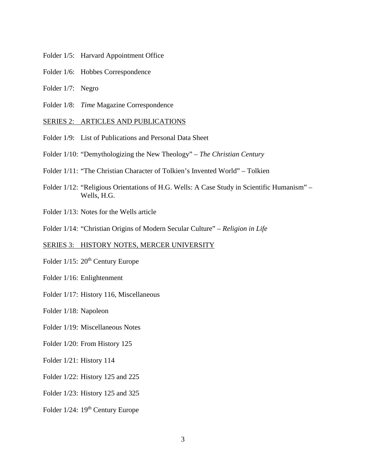- Folder 1/5: Harvard Appointment Office
- Folder 1/6: Hobbes Correspondence
- Folder 1/7: Negro
- Folder 1/8: *Time* Magazine Correspondence

#### SERIES 2: ARTICLES AND PUBLICATIONS

- Folder 1/9: List of Publications and Personal Data Sheet
- Folder 1/10: "Demythologizing the New Theology" *The Christian Century*
- Folder 1/11: "The Christian Character of Tolkien's Invented World" Tolkien
- Folder 1/12: "Religious Orientations of H.G. Wells: A Case Study in Scientific Humanism" Wells, H.G.
- Folder 1/13: Notes for the Wells article
- Folder 1/14: "Christian Origins of Modern Secular Culture" *Religion in Life*

#### SERIES 3: HISTORY NOTES, MERCER UNIVERSITY

- Folder 1/15: 20<sup>th</sup> Century Europe
- Folder 1/16: Enlightenment
- Folder 1/17: History 116, Miscellaneous

Folder 1/18: Napoleon

- Folder 1/19: Miscellaneous Notes
- Folder 1/20: From History 125
- Folder 1/21: History 114
- Folder 1/22: History 125 and 225
- Folder 1/23: History 125 and 325
- Folder 1/24: 19<sup>th</sup> Century Europe